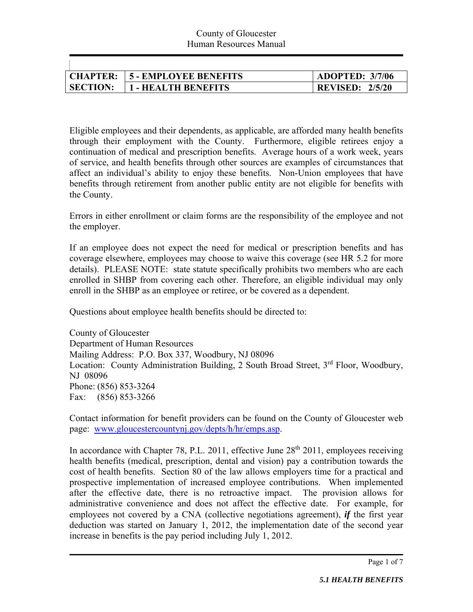| CHAPTER: -      | <b>15 - EMPLOYEE BENEFITS</b> | <b>ADOPTED: 3/7/06</b> |
|-----------------|-------------------------------|------------------------|
| <b>SECTION:</b> | <b>1 - HEALTH BENEFITS</b>    | <b>REVISED: 2/5/20</b> |

Eligible employees and their dependents, as applicable, are afforded many health benefits through their employment with the County. Furthermore, eligible retirees enjoy a continuation of medical and prescription benefits. Average hours of a work week, years of service, and health benefits through other sources are examples of circumstances that affect an individual's ability to enjoy these benefits. Non-Union employees that have benefits through retirement from another public entity are not eligible for benefits with the County.

Errors in either enrollment or claim forms are the responsibility of the employee and not the employer.

If an employee does not expect the need for medical or prescription benefits and has coverage elsewhere, employees may choose to waive this coverage (see HR 5.2 for more details). PLEASE NOTE: state statute specifically prohibits two members who are each enrolled in SHBP from covering each other. Therefore, an eligible individual may only enroll in the SHBP as an employee or retiree, or be covered as a dependent.

Questions about employee health benefits should be directed to:

County of Gloucester Department of Human Resources Mailing Address: P.O. Box 337, Woodbury, NJ 08096 Location: County Administration Building, 2 South Broad Street, 3<sup>rd</sup> Floor, Woodbury, NJ 08096 Phone: (856) 853-3264 Fax: (856) 853-3266

Contact information for benefit providers can be found on the County of Gloucester web page: www.gloucestercountynj.gov/depts/h/hr/emps.asp.

In accordance with Chapter 78, P.L. 2011, effective June  $28<sup>th</sup> 2011$ , employees receiving health benefits (medical, prescription, dental and vision) pay a contribution towards the cost of health benefits. Section 80 of the law allows employers time for a practical and prospective implementation of increased employee contributions. When implemented after the effective date, there is no retroactive impact. The provision allows for administrative convenience and does not affect the effective date. For example, for employees not covered by a CNA (collective negotiations agreement), *if* the first year deduction was started on January 1, 2012, the implementation date of the second year increase in benefits is the pay period including July 1, 2012.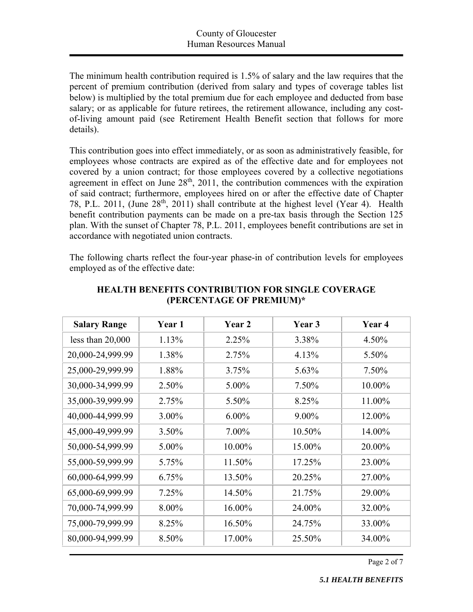The minimum health contribution required is 1.5% of salary and the law requires that the percent of premium contribution (derived from salary and types of coverage tables list below) is multiplied by the total premium due for each employee and deducted from base salary; or as applicable for future retirees, the retirement allowance, including any costof-living amount paid (see Retirement Health Benefit section that follows for more details).

This contribution goes into effect immediately, or as soon as administratively feasible, for employees whose contracts are expired as of the effective date and for employees not covered by a union contract; for those employees covered by a collective negotiations agreement in effect on June  $28<sup>th</sup>$ ,  $2011$ , the contribution commences with the expiration of said contract; furthermore, employees hired on or after the effective date of Chapter 78, P.L. 2011, (June  $28<sup>th</sup>$ , 2011) shall contribute at the highest level (Year 4). Health benefit contribution payments can be made on a pre-tax basis through the Section 125 plan. With the sunset of Chapter 78, P.L. 2011, employees benefit contributions are set in accordance with negotiated union contracts.

The following charts reflect the four-year phase-in of contribution levels for employees employed as of the effective date:

| <b>Salary Range</b> | Year 1 | Year 2   | Year 3 | Year 4 |
|---------------------|--------|----------|--------|--------|
| less than $20,000$  | 1.13%  | 2.25%    | 3.38%  | 4.50%  |
| 20,000-24,999.99    | 1.38%  | 2.75%    | 4.13%  | 5.50%  |
| 25,000-29,999.99    | 1.88%  | 3.75%    | 5.63%  | 7.50%  |
| 30,000-34,999.99    | 2.50%  | 5.00%    | 7.50%  | 10.00% |
| 35,000-39,999.99    | 2.75%  | 5.50%    | 8.25%  | 11.00% |
| 40,000-44,999.99    | 3.00%  | $6.00\%$ | 9.00%  | 12.00% |
| 45,000-49,999.99    | 3.50%  | 7.00%    | 10.50% | 14.00% |
| 50,000-54,999.99    | 5.00%  | 10.00%   | 15.00% | 20.00% |
| 55,000-59,999.99    | 5.75%  | 11.50%   | 17.25% | 23.00% |
| 60,000-64,999.99    | 6.75%  | 13.50%   | 20.25% | 27.00% |
| 65,000-69,999.99    | 7.25%  | 14.50%   | 21.75% | 29.00% |
| 70,000-74,999.99    | 8.00%  | 16.00%   | 24.00% | 32.00% |
| 75,000-79,999.99    | 8.25%  | 16.50%   | 24.75% | 33.00% |
| 80,000-94,999.99    | 8.50%  | 17.00%   | 25.50% | 34.00% |

#### **HEALTH BENEFITS CONTRIBUTION FOR SINGLE COVERAGE (PERCENTAGE OF PREMIUM)\***

Page 2 of 7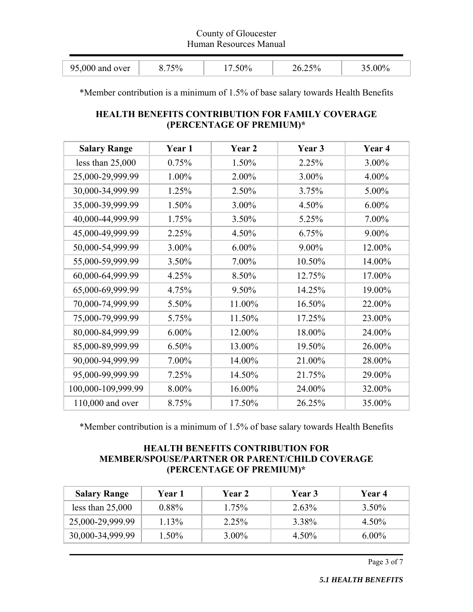#### County of Gloucester Human Resources Manual

| $95,000$ and over | 50/ | 50% | ∩∩0∠ |
|-------------------|-----|-----|------|
|                   |     |     |      |

\*Member contribution is a minimum of 1.5% of base salary towards Health Benefits

# **HEALTH BENEFITS CONTRIBUTION FOR FAMILY COVERAGE (PERCENTAGE OF PREMIUM)\***

| <b>Salary Range</b> | Year 1   | Year 2   | Year 3 | Year <sub>4</sub> |
|---------------------|----------|----------|--------|-------------------|
| less than $25,000$  | 0.75%    | 1.50%    | 2.25%  | 3.00%             |
| 25,000-29,999.99    | 1.00%    | 2.00%    | 3.00%  | 4.00%             |
| 30,000-34,999.99    | 1.25%    | 2.50%    | 3.75%  | 5.00%             |
| 35,000-39,999.99    | 1.50%    | 3.00%    | 4.50%  | $6.00\%$          |
| 40,000-44,999.99    | 1.75%    | 3.50%    | 5.25%  | 7.00%             |
| 45,000-49,999.99    | 2.25%    | 4.50%    | 6.75%  | 9.00%             |
| 50,000-54,999.99    | 3.00%    | $6.00\%$ | 9.00%  | 12.00%            |
| 55,000-59,999.99    | 3.50%    | 7.00%    | 10.50% | 14.00%            |
| 60,000-64,999.99    | 4.25%    | 8.50%    | 12.75% | 17.00%            |
| 65,000-69,999.99    | 4.75%    | 9.50%    | 14.25% | 19.00%            |
| 70,000-74,999.99    | 5.50%    | 11.00%   | 16.50% | 22.00%            |
| 75,000-79,999.99    | 5.75%    | 11.50%   | 17.25% | 23.00%            |
| 80,000-84,999.99    | $6.00\%$ | 12.00%   | 18.00% | 24.00%            |
| 85,000-89,999.99    | 6.50%    | 13.00%   | 19.50% | 26.00%            |
| 90,000-94,999.99    | 7.00%    | 14.00%   | 21.00% | 28.00%            |
| 95,000-99,999.99    | 7.25%    | 14.50%   | 21.75% | 29.00%            |
| 100,000-109,999.99  | 8.00%    | 16.00%   | 24.00% | 32.00%            |
| 110,000 and over    | 8.75%    | 17.50%   | 26.25% | 35.00%            |

\*Member contribution is a minimum of 1.5% of base salary towards Health Benefits

## **HEALTH BENEFITS CONTRIBUTION FOR MEMBER/SPOUSE/PARTNER OR PARENT/CHILD COVERAGE (PERCENTAGE OF PREMIUM)\***

| <b>Salary Range</b> | Year 1   | <b>Year 2</b> | <b>Year 3</b> | Year 4   |
|---------------------|----------|---------------|---------------|----------|
| less than $25,000$  | $0.88\%$ | $1.75\%$      | 2.63%         | $3.50\%$ |
| 25,000-29,999.99    | 1.13%    | $2.25\%$      | 3.38%         | $4.50\%$ |
| 30,000-34,999.99    | 1.50%    | $3.00\%$      | $4.50\%$      | $6.00\%$ |

Page 3 of 7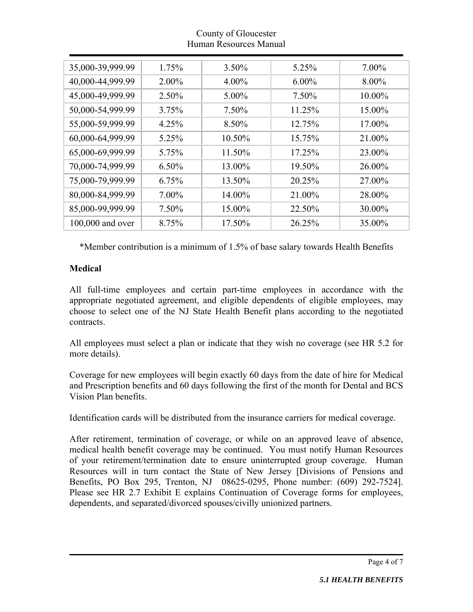## County of Gloucester Human Resources Manual

| 35,000-39,999.99 | 1.75%    | $3.50\%$ | 5.25%    | 7.00%    |
|------------------|----------|----------|----------|----------|
| 40,000-44,999.99 | $2.00\%$ | $4.00\%$ | $6.00\%$ | $8.00\%$ |
| 45,000-49,999.99 | 2.50%    | $5.00\%$ | 7.50%    | 10.00%   |
| 50,000-54,999.99 | 3.75%    | $7.50\%$ | 11.25%   | 15.00%   |
| 55,000-59,999.99 | 4.25%    | 8.50%    | 12.75%   | 17.00%   |
| 60,000-64,999.99 | 5.25%    | 10.50%   | 15.75%   | 21.00%   |
| 65,000-69,999.99 | 5.75%    | 11.50%   | 17.25%   | 23.00%   |
| 70,000-74,999.99 | $6.50\%$ | 13.00%   | 19.50%   | 26.00%   |
| 75,000-79,999.99 | 6.75%    | 13.50%   | 20.25%   | 27.00%   |
| 80,000-84,999.99 | 7.00%    | 14.00%   | 21.00%   | 28.00%   |
| 85,000-99,999.99 | 7.50%    | 15.00%   | 22.50%   | 30.00%   |
| 100,000 and over | 8.75%    | 17.50%   | 26.25%   | 35.00%   |

\*Member contribution is a minimum of 1.5% of base salary towards Health Benefits

# **Medical**

All full-time employees and certain part-time employees in accordance with the appropriate negotiated agreement, and eligible dependents of eligible employees, may choose to select one of the NJ State Health Benefit plans according to the negotiated contracts.

All employees must select a plan or indicate that they wish no coverage (see HR 5.2 for more details).

Coverage for new employees will begin exactly 60 days from the date of hire for Medical and Prescription benefits and 60 days following the first of the month for Dental and BCS Vision Plan benefits.

Identification cards will be distributed from the insurance carriers for medical coverage.

After retirement, termination of coverage, or while on an approved leave of absence, medical health benefit coverage may be continued. You must notify Human Resources of your retirement/termination date to ensure uninterrupted group coverage. Human Resources will in turn contact the State of New Jersey [Divisions of Pensions and Benefits, PO Box 295, Trenton, NJ 08625-0295, Phone number: (609) 292-7524]. Please see HR 2.7 Exhibit E explains Continuation of Coverage forms for employees, dependents, and separated/divorced spouses/civilly unionized partners.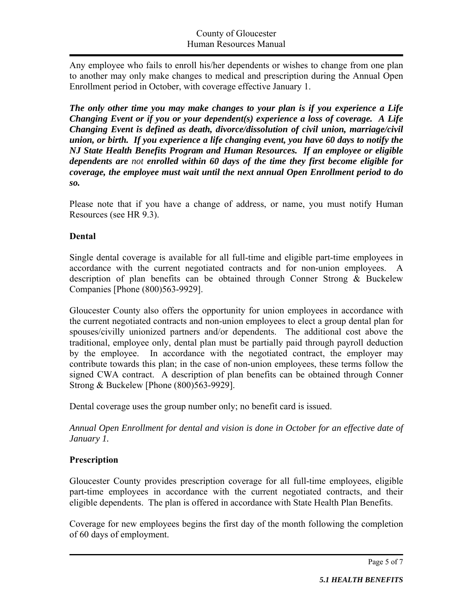Any employee who fails to enroll his/her dependents or wishes to change from one plan to another may only make changes to medical and prescription during the Annual Open Enrollment period in October, with coverage effective January 1.

*The only other time you may make changes to your plan is if you experience a Life Changing Event or if you or your dependent(s) experience a loss of coverage. A Life Changing Event is defined as death, divorce/dissolution of civil union, marriage/civil union, or birth. If you experience a life changing event, you have 60 days to notify the NJ State Health Benefits Program and Human Resources. If an employee or eligible dependents are not enrolled within 60 days of the time they first become eligible for coverage, the employee must wait until the next annual Open Enrollment period to do so.* 

Please note that if you have a change of address, or name, you must notify Human Resources (see HR 9.3).

## **Dental**

Single dental coverage is available for all full-time and eligible part-time employees in accordance with the current negotiated contracts and for non-union employees. A description of plan benefits can be obtained through Conner Strong & Buckelew Companies [Phone (800)563-9929].

Gloucester County also offers the opportunity for union employees in accordance with the current negotiated contracts and non-union employees to elect a group dental plan for spouses/civilly unionized partners and/or dependents. The additional cost above the traditional, employee only, dental plan must be partially paid through payroll deduction by the employee. In accordance with the negotiated contract, the employer may contribute towards this plan; in the case of non-union employees, these terms follow the signed CWA contract. A description of plan benefits can be obtained through Conner Strong & Buckelew [Phone (800)563-9929].

Dental coverage uses the group number only; no benefit card is issued.

*Annual Open Enrollment for dental and vision is done in October for an effective date of January 1.* 

## **Prescription**

Gloucester County provides prescription coverage for all full-time employees, eligible part-time employees in accordance with the current negotiated contracts, and their eligible dependents. The plan is offered in accordance with State Health Plan Benefits.

Coverage for new employees begins the first day of the month following the completion of 60 days of employment.

Page 5 of 7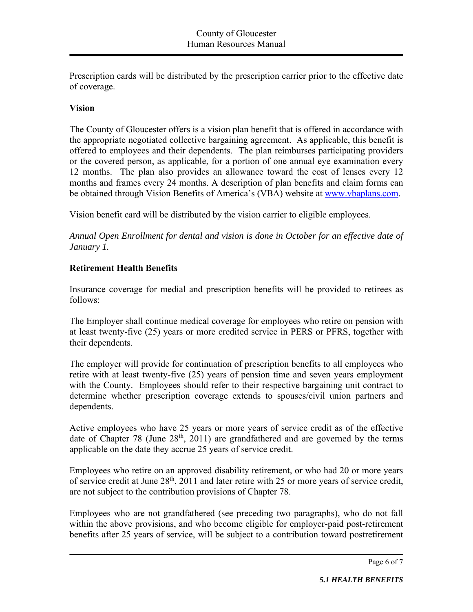Prescription cards will be distributed by the prescription carrier prior to the effective date of coverage.

#### **Vision**

The County of Gloucester offers is a vision plan benefit that is offered in accordance with the appropriate negotiated collective bargaining agreement. As applicable, this benefit is offered to employees and their dependents. The plan reimburses participating providers or the covered person, as applicable, for a portion of one annual eye examination every 12 months. The plan also provides an allowance toward the cost of lenses every 12 months and frames every 24 months. A description of plan benefits and claim forms can be obtained through Vision Benefits of America's (VBA) website at www.vbaplans.com.

Vision benefit card will be distributed by the vision carrier to eligible employees.

*Annual Open Enrollment for dental and vision is done in October for an effective date of January 1.* 

## **Retirement Health Benefits**

Insurance coverage for medial and prescription benefits will be provided to retirees as follows:

The Employer shall continue medical coverage for employees who retire on pension with at least twenty-five (25) years or more credited service in PERS or PFRS, together with their dependents.

The employer will provide for continuation of prescription benefits to all employees who retire with at least twenty-five (25) years of pension time and seven years employment with the County. Employees should refer to their respective bargaining unit contract to determine whether prescription coverage extends to spouses/civil union partners and dependents.

Active employees who have 25 years or more years of service credit as of the effective date of Chapter 78 (June  $28<sup>th</sup>$ , 2011) are grandfathered and are governed by the terms applicable on the date they accrue 25 years of service credit.

Employees who retire on an approved disability retirement, or who had 20 or more years of service credit at June 28<sup>th</sup>, 2011 and later retire with 25 or more years of service credit, are not subject to the contribution provisions of Chapter 78.

Employees who are not grandfathered (see preceding two paragraphs), who do not fall within the above provisions, and who become eligible for employer-paid post-retirement benefits after 25 years of service, will be subject to a contribution toward postretirement